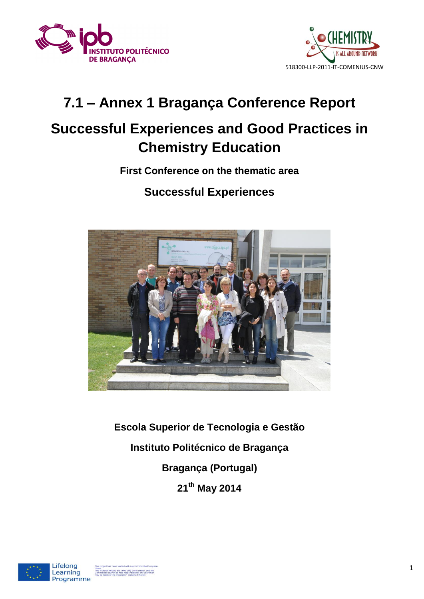



# **7.1 – Annex 1 Bragança Conference Report**

## **Successful Experiences and Good Practices in Chemistry Education**

### **First Conference on the thematic area**

### **Successful Experiences**



**Escola Superior de Tecnologia e Gestão Instituto Politécnico de Bragança Bragança (Portugal) 21th May 2014**

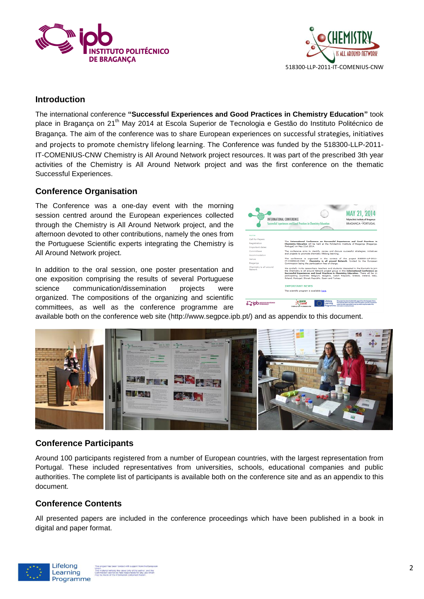



#### **Introduction**

The international conference **"Successful Experiences and Good Practices in Chemistry Education"** took place in Bragança on 21<sup>th</sup> May 2014 at Escola Superior de Tecnologia e Gestão do Instituto Politécnico de Bragança. The aim of the conference was to share European experiences on successful strategies, initiatives and projects to promote chemistry lifelong learning. The Conference was funded by the 518300-LLP-2011- IT-COMENIUS-CNW Chemistry is All Around Network project resources. It was part of the prescribed 3th year activities of the Chemistry is All Around Network project and was the first conference on the thematic Successful Experiences.

#### **Conference Organisation**

The Conference was a one-day event with the morning session centred around the European experiences collected through the Chemistry is All Around Network project, and the afternoon devoted to other contributions, namely the ones from the Portuguese Scientific experts integrating the Chemistry is All Around Network project.

In addition to the oral session, one poster presentation and one exposition comprising the results of several Portuguese science communication/dissemination projects were organized. The compositions of the organizing and scientific committees, as well as the conference programme are



available both on the conference web site (http://www.segpce.ipb.pt/) and as appendix to this document.



#### **Conference Participants**

Around 100 participants registered from a number of European countries, with the largest representation from Portugal. These included representatives from universities, schools, educational companies and public authorities. The complete list of participants is available both on the conference site and as an appendix to this document.

#### **Conference Contents**

All presented papers are included in the conference proceedings which have been published in a book in digital and paper format.

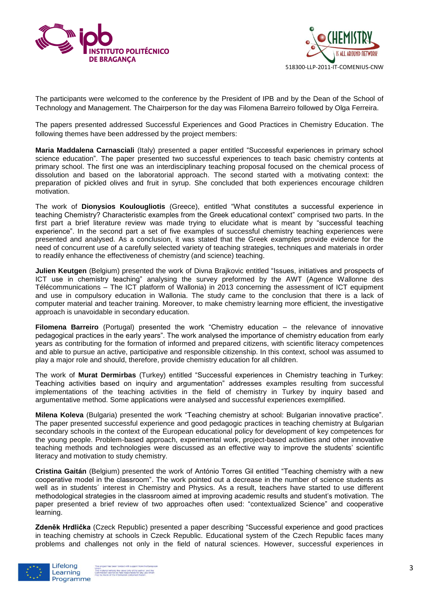



The participants were welcomed to the conference by the President of IPB and by the Dean of the School of Technology and Management. The Chairperson for the day was Filomena Barreiro followed by Olga Ferreira.

The papers presented addressed Successful Experiences and Good Practices in Chemistry Education. The following themes have been addressed by the project members:

**Maria Maddalena Carnasciali** (Italy) presented a paper entitled "Successful experiences in primary school science education". The paper presented two successful experiences to teach basic chemistry contents at primary school. The first one was an interdisciplinary teaching proposal focused on the chemical process of dissolution and based on the laboratorial approach. The second started with a motivating context: the preparation of pickled olives and fruit in syrup. She concluded that both experiences encourage children motivation.

The work of **Dionysios Koulougliotis** (Greece), entitled "What constitutes a successful experience in teaching Chemistry? Characteristic examples from the Greek educational context" comprised two parts. In the first part a brief literature review was made trying to elucidate what is meant by "successful teaching experience". In the second part a set of five examples of successful chemistry teaching experiences were presented and analysed. As a conclusion, it was stated that the Greek examples provide evidence for the need of concurrent use of a carefully selected variety of teaching strategies, techniques and materials in order to readily enhance the effectiveness of chemistry (and science) teaching.

**Julien Keutgen** (Belgium) presented the work of Divna Brajkovic entitled "Issues, initiatives and prospects of ICT use in chemistry teaching" analysing the survey preformed by the AWT (Agence Wallonne des Télécommunications – The ICT platform of Wallonia) in 2013 concerning the assessment of ICT equipment and use in compulsory education in Wallonia. The study came to the conclusion that there is a lack of computer material and teacher training. Moreover, to make chemistry learning more efficient, the investigative approach is unavoidable in secondary education.

**Filomena Barreiro** (Portugal) presented the work "Chemistry education – the relevance of innovative pedagogical practices in the early years". The work analysed the importance of chemistry education from early years as contributing for the formation of informed and prepared citizens, with scientific literacy competences and able to pursue an active, participative and responsible citizenship. In this context, school was assumed to play a major role and should, therefore, provide chemistry education for all children.

The work of **Murat Dermirbas** (Turkey) entitled "Successful experiences in Chemistry teaching in Turkey: Teaching activities based on inquiry and argumentation" addresses examples resulting from successful implementations of the teaching activities in the field of chemistry in Turkey by inquiry based and argumentative method. Some applications were analysed and successful experiences exemplified.

**Milena Koleva** (Bulgaria) presented the work "Teaching chemistry at school: Bulgarian innovative practice". The paper presented successful experience and good pedagogic practices in teaching chemistry at Bulgarian secondary schools in the context of the European educational policy for development of key competences for the young people. Problem-based approach, experimental work, project-based activities and other innovative teaching methods and technologies were discussed as an effective way to improve the students' scientific literacy and motivation to study chemistry.

**Cristina Gaitán** (Belgium) presented the work of António Torres Gil entitled "Teaching chemistry with a new cooperative model in the classroom". The work pointed out a decrease in the number of science students as well as in students´ interest in Chemistry and Physics. As a result, teachers have started to use different methodological strategies in the classroom aimed at improving academic results and student's motivation. The paper presented a brief review of two approaches often used: "contextualized Science" and cooperative learning.

**Zdeněk Hrdlička** (Czeck Republic) presented a paper describing "Successful experience and good practices in teaching chemistry at schools in Czeck Republic. Educational system of the Czech Republic faces many problems and challenges not only in the field of natural sciences. However, successful experiences in

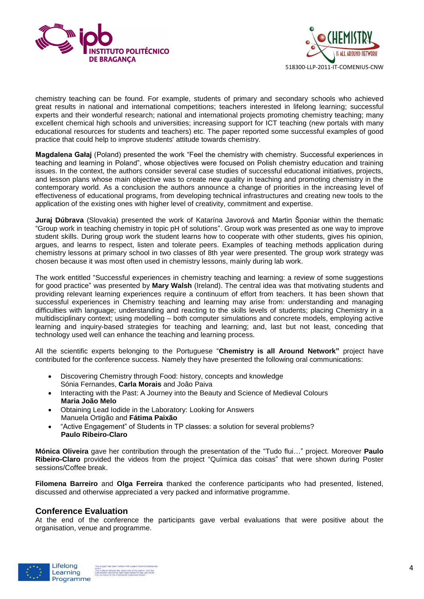



chemistry teaching can be found. For example, students of primary and secondary schools who achieved great results in national and international competitions; teachers interested in lifelong learning; successful experts and their wonderful research; national and international projects promoting chemistry teaching; many excellent chemical high schools and universities; increasing support for ICT teaching (new portals with many educational resources for students and teachers) etc. The paper reported some successful examples of good practice that could help to improve students' attitude towards chemistry.

**Magdalena Gałaj** (Poland) presented the work "Feel the chemistry with chemistry. Successful experiences in teaching and learning in Poland", whose objectives were focused on Polish chemistry education and training issues. In the context, the authors consider several case studies of successful educational initiatives, projects, and lesson plans whose main objective was to create new quality in teaching and promoting chemistry in the contemporary world. As a conclusion the authors announce a change of priorities in the increasing level of effectiveness of educational programs, from developing technical infrastructures and creating new tools to the application of the existing ones with higher level of creativity, commitment and expertise.

**Juraj Dúbrava** (Slovakia) presented the work of Katarína Javorová and Martin Šponiar within the thematic "Group work in teaching chemistry in topic pH of solutions". Group work was presented as one way to improve student skills. During group work the student learns how to cooperate with other students, gives his opinion, argues, and learns to respect, listen and tolerate peers. Examples of teaching methods application during chemistry lessons at primary school in two classes of 8th year were presented. The group work strategy was chosen because it was most often used in chemistry lessons, mainly during lab work.

The work entitled "Successful experiences in chemistry teaching and learning: a review of some suggestions for good practice" was presented by **Mary Walsh** (Ireland). The central idea was that motivating students and providing relevant learning experiences require a continuum of effort from teachers. It has been shown that successful experiences in Chemistry teaching and learning may arise from: understanding and managing difficulties with language; understanding and reacting to the skills levels of students; placing Chemistry in a multidisciplinary context; using modelling – both computer simulations and concrete models, employing active learning and inquiry-based strategies for teaching and learning; and, last but not least, conceding that technology used well can enhance the teaching and learning process.

All the scientific experts belonging to the Portuguese "**Chemistry is all Around Network"** project have contributed for the conference success. Namely they have presented the following oral communications:

- Discovering Chemistry through Food: history, concepts and knowledge Sónia Fernandes, **Carla Morais** and João Paiva
- Interacting with the Past: A Journey into the Beauty and Science of Medieval Colours **Maria João Melo**
- Obtaining Lead Iodide in the Laboratory: Looking for Answers Manuela Ortigão and **Fátima Paixão**
- "Active Engagement" of Students in TP classes: a solution for several problems? **Paulo Ribeiro-Claro**

**Mónica Oliveira** gave her contribution through the presentation of the "Tudo flui…" project. Moreover **Paulo Ribeiro-Claro** provided the videos from the project "Química das coisas" that were shown during Poster sessions/Coffee break.

**Filomena Barreiro** and **Olga Ferreira** thanked the conference participants who had presented, listened, discussed and otherwise appreciated a very packed and informative programme.

#### **Conference Evaluation**

At the end of the conference the participants gave verbal evaluations that were positive about the organisation, venue and programme.

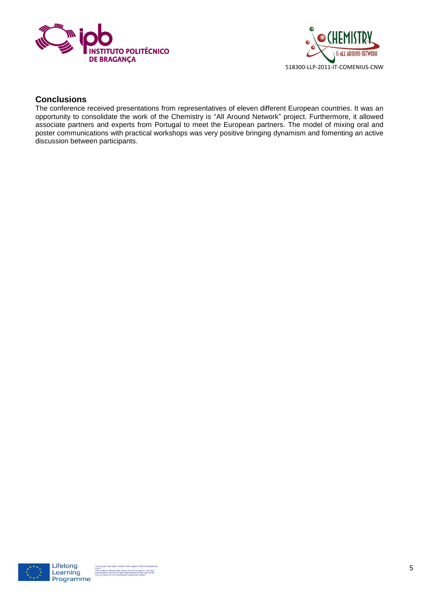



#### **Conclusions**

The conference received presentations from representatives of eleven different European countries. It was an opportunity to consolidate the work of the Chemistry is "All Around Network" project. Furthermore, it allowed associate partners and experts from Portugal to meet the European partners. The model of mixing oral and poster communications with practical workshops was very positive bringing dynamism and fomenting an active discussion between participants.

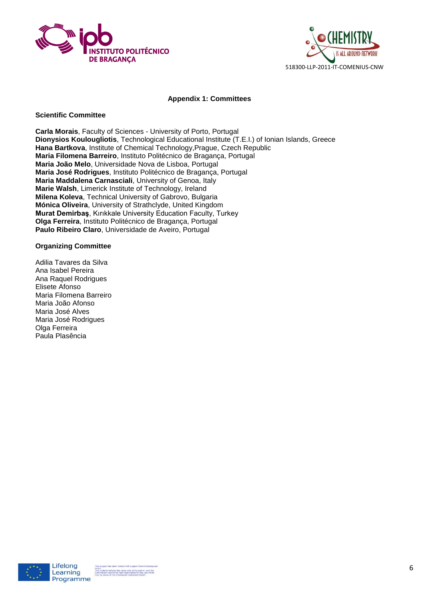



#### **Appendix 1: Committees**

#### **Scientific Committee**

**Carla Morais**, Faculty of Sciences - University of Porto, Portugal **Dionysios Koulougliotis**, Technological Educational Institute (T.E.I.) of Ionian Islands, Greece **Hana Bartkova**, Institute of Chemical Technology,Prague, Czech Republic **Maria Filomena Barreiro**, Instituto Politécnico de Bragança, Portugal **Maria João Melo**, Universidade Nova de Lisboa, Portugal **Maria José Rodrigues**, Instituto Politécnico de Bragança, Portugal **Maria Maddalena Carnasciali**, University of Genoa, Italy **Marie Walsh**, Limerick Institute of Technology, Ireland **Milena Koleva**, Technical University of Gabrovo, Bulgaria **Mónica Oliveira**, University of Strathclyde, United Kingdom **Murat Demirbaş**, Kırıkkale University Education Faculty, Turkey **Olga Ferreira**, Instituto Politécnico de Bragança, Portugal **Paulo Ribeiro Claro**, Universidade de Aveiro, Portugal

#### **Organizing Committee**

Adilia Tavares da Silva Ana Isabel Pereira Ana Raquel Rodrigues Elisete Afonso Maria Filomena Barreiro Maria João Afonso Maria José Alves Maria José Rodrigues Olga Ferreira Paula Plasência

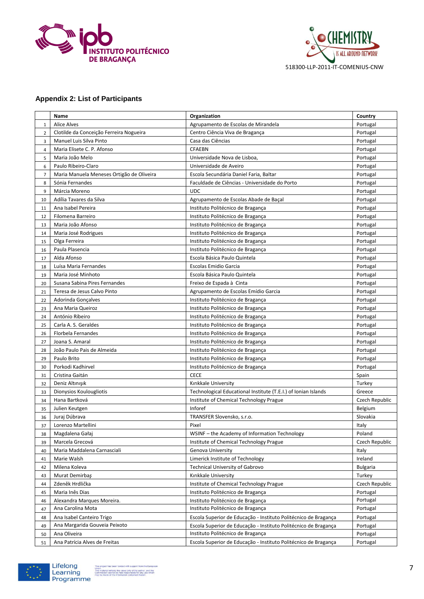



#### **Appendix 2: List of Participants**

|                | Name                                            | Organization                                                           | Country              |
|----------------|-------------------------------------------------|------------------------------------------------------------------------|----------------------|
| $\mathbf{1}$   | <b>Alice Alves</b>                              | Agrupamento de Escolas de Mirandela                                    | Portugal             |
| $\overline{2}$ | Clotilde da Conceição Ferreira Nogueira         | Centro Ciência Viva de Bragança                                        | Portugal             |
| 3              | Manuel Luis Silva Pinto                         | Casa das Ciências                                                      | Portugal             |
| $\overline{4}$ | Maria Elisete C. P. Afonso                      | <b>CFAEBN</b>                                                          | Portugal             |
| 5              | Maria João Melo                                 | Universidade Nova de Lisboa,                                           | Portugal             |
| 6              | Paulo Ribeiro-Claro                             | Universidade de Aveiro                                                 | Portugal             |
| $\overline{7}$ | Maria Manuela Meneses Ortigão de Oliveira       | Escola Secundária Daniel Faria, Baltar                                 | Portugal             |
| 8              | Sónia Fernandes                                 | Faculdade de Ciências - Universidade do Porto                          | Portugal             |
| 9              | Márcia Moreno                                   | <b>UDC</b>                                                             | Portugal             |
| 10             | Adília Tavares da Silva                         | Agrupamento de Escolas Abade de Baçal                                  | Portugal             |
| 11             | Ana Isabel Pereira                              | Instituto Politécnico de Bragança                                      | Portugal             |
| 12             | Filomena Barreiro                               | Instituto Politécnico de Bragança                                      | Portugal             |
| 13             | Maria João Afonso                               | Instituto Politécnico de Bragança                                      | Portugal             |
| 14             | Maria José Rodrigues                            | Instituto Politécnico de Bragança                                      | Portugal             |
| 15             | Olga Ferreira                                   | Instituto Politécnico de Bragança                                      | Portugal             |
| 16             | Paula Plasencia                                 | Instituto Politécnico de Bragança                                      | Portugal             |
| 17             | Alda Afonso                                     | Escola Básica Paulo Quintela                                           | Portugal             |
| 18             | Luísa Maria Fernandes                           | <b>Escolas Emidio Garcia</b>                                           | Portugal             |
| 19             | Maria José Minhoto                              | Escola Básica Paulo Quintela                                           | Portugal             |
| 20             | Susana Sabina Pires Fernandes                   | Freixo de Espada à Cinta                                               | Portugal             |
| 21             | Teresa de Jesus Calvo Pinto                     | Agrupamento de Escolas Emídio Garcia                                   | Portugal             |
| 22             | Adorinda Gonçalves                              | Instituto Politécnico de Bragança                                      | Portugal             |
| 23             | Ana Maria Queiroz                               | Instituto Politécnico de Bragança                                      | Portugal             |
| 24             | António Ribeiro                                 | Instituto Politécnico de Bragança                                      | Portugal             |
| 25             | Carla A. S. Geraldes                            | Instituto Politécnico de Bragança                                      | Portugal             |
| 26             | Florbela Fernandes                              | Instituto Politécnico de Bragança                                      | Portugal             |
| 27             | Joana S. Amaral                                 | Instituto Politécnico de Bragança                                      | Portugal             |
| 28             | João Paulo Pais de Almeida                      | Instituto Politécnico de Bragança                                      | Portugal             |
| 29             | Paulo Brito                                     | Instituto Politécnico de Bragança                                      | Portugal             |
| 30             | Porkodi Kadhirvel                               | Instituto Politécnico de Bragança                                      | Portugal             |
| 31             | Cristina Gaitán                                 | <b>CECE</b>                                                            | Spain                |
| 32             | Deniz Altınışık                                 | Kırıkkale University                                                   | Turkey               |
| 33             | Dionysios Koulougliotis                         | Technological Educational Institute (T.E.I.) of Ionian Islands         | Greece               |
| 34             | Hana Bartková                                   | Institute of Chemical Technology Prague                                | Czech Republic       |
| 35             | Julien Keutgen                                  | Inforef                                                                | Belgium              |
| 36             | Juraj Dúbrava                                   | TRANSFER Slovensko, s.r.o.                                             | Slovakia             |
| 37             | Lorenzo Martellini                              | Pixel                                                                  | Italy                |
| 38             | Magdalena Gałaj                                 | WSINF - the Academy of Information Technology                          | Poland               |
| 39             | Marcela Grecová                                 | Institute of Chemical Technology Prague                                | Czech Republic       |
| 40             | Maria Maddalena Carnasciali                     | Genova University                                                      | Italy                |
| 41             | Marie Walsh                                     | Limerick Institute of Technology                                       | Ireland              |
| 42             | Milena Koleva                                   | <b>Technical University of Gabrovo</b>                                 | <b>Bulgaria</b>      |
| 43             | Murat Demirbaş                                  | Kırıkkale University<br>Institute of Chemical Technology Prague        | Turkey               |
| 44             | Zdeněk Hrdlička                                 |                                                                        | Czech Republic       |
| 45             | Maria Inês Dias                                 | Instituto Politécnico de Bragança                                      | Portugal<br>Portugal |
| 46             | Alexandra Marques Moreira.<br>Ana Carolina Mota | Instituto Politécnico de Bragança<br>Instituto Politécnico de Bragança | Portugal             |
| 47<br>48       | Ana Isabel Canteiro Trigo                       | Escola Superior de Educação - Instituto Politécnico de Bragança        | Portugal             |
| 49             | Ana Margarida Gouveia Peixoto                   | Escola Superior de Educação - Instituto Politécnico de Bragança        | Portugal             |
| 50             | Ana Oliveira                                    | Instituto Politécnico de Bragança                                      | Portugal             |
| 51             | Ana Patrícia Alves de Freitas                   | Escola Superior de Educação - Instituto Politécnico de Bragança        | Portugal             |
|                |                                                 |                                                                        |                      |

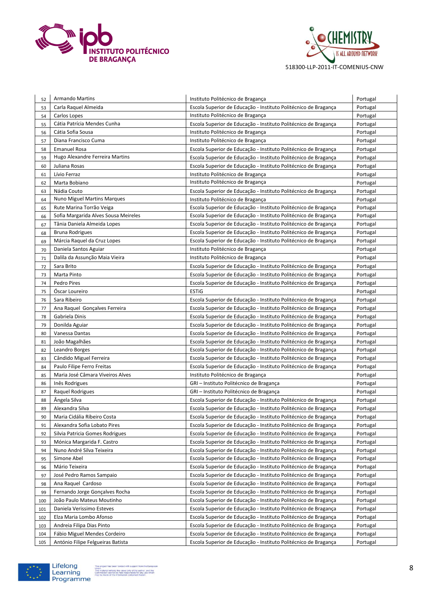



| 52  | <b>Armando Martins</b>               | Instituto Politécnico de Bragança                               | Portugal |
|-----|--------------------------------------|-----------------------------------------------------------------|----------|
| 53  | Carla Raquel Almeida                 | Escola Superior de Educação - Instituto Politécnico de Bragança | Portugal |
| 54  | Carlos Lopes                         | Instituto Politécnico de Bragança                               | Portugal |
| 55  | Cátia Patrícia Mendes Cunha          | Escola Superior de Educação - Instituto Politécnico de Bragança | Portugal |
| 56  | Cátia Sofia Sousa                    | Instituto Politécnico de Bragança                               | Portugal |
| 57  | Diana Francisco Cuma                 | Instituto Politécnico de Bragança                               | Portugal |
| 58  | <b>Emanuel Rosa</b>                  | Escola Superior de Educação - Instituto Politécnico de Bragança | Portugal |
| 59  | Hugo Alexandre Ferreira Martins      | Escola Superior de Educação - Instituto Politécnico de Bragança | Portugal |
| 60  | Juliana Rosas                        | Escola Superior de Educação - Instituto Politécnico de Bragança | Portugal |
| 61  | Lívio Ferraz                         | Instituto Politécnico de Bragança                               | Portugal |
| 62  | Marta Bobiano                        | Instituto Politécnico de Bragança                               | Portugal |
| 63  | Nádia Couto                          | Escola Superior de Educação - Instituto Politécnico de Bragança | Portugal |
| 64  | <b>Nuno Miguel Martins Marques</b>   | Instituto Politécnico de Bragança                               | Portugal |
| 65  | Rute Marina Torrão Veiga             | Escola Superior de Educação - Instituto Politécnico de Bragança | Portugal |
| 66  | Sofia Margarida Alves Sousa Meireles | Escola Superior de Educação - Instituto Politécnico de Bragança | Portugal |
| 67  | Tânia Daniela Almeida Lopes          | Escola Superior de Educação - Instituto Politécnico de Bragança | Portugal |
| 68  | <b>Bruna Rodrigues</b>               | Escola Superior de Educação - Instituto Politécnico de Bragança | Portugal |
| 69  | Márcia Raquel da Cruz Lopes          | Escola Superior de Educação - Instituto Politécnico de Bragança | Portugal |
| 70  | Daniela Santos Aguiar                | Instituto Politécnico de Bragança                               | Portugal |
| 71  | Dalila da Assunção Maia Vieira       | Instituto Politécnico de Bragança                               | Portugal |
| 72  | Sara Brito                           | Escola Superior de Educação - Instituto Politécnico de Bragança | Portugal |
| 73  | Marta Pinto                          | Escola Superior de Educação - Instituto Politécnico de Bragança | Portugal |
| 74  | Pedro Pires                          | Escola Superior de Educação - Instituto Politécnico de Bragança | Portugal |
| 75  | Óscar Loureiro                       | <b>ESTIG</b>                                                    | Portugal |
| 76  | Sara Ribeiro                         | Escola Superior de Educação - Instituto Politécnico de Bragança | Portugal |
| 77  | Ana Raquel Gonçalves Ferreira        | Escola Superior de Educação - Instituto Politécnico de Bragança | Portugal |
| 78  | Gabriela Dinis                       | Escola Superior de Educação - Instituto Politécnico de Bragança | Portugal |
| 79  | Donilda Aguiar                       | Escola Superior de Educação - Instituto Politécnico de Bragança | Portugal |
| 80  | Vanessa Dantas                       | Escola Superior de Educação - Instituto Politécnico de Bragança | Portugal |
| 81  | João Magalhães                       | Escola Superior de Educação - Instituto Politécnico de Bragança | Portugal |
| 82  | Leandro Borges                       | Escola Superior de Educação - Instituto Politécnico de Bragança | Portugal |
| 83  | Cândido Miguel Ferreira              | Escola Superior de Educação - Instituto Politécnico de Bragança | Portugal |
| 84  | Paulo Filipe Ferro Freitas           | Escola Superior de Educação - Instituto Politécnico de Bragança | Portugal |
| 85  | Maria José Câmara Viveiros Alves     | Instituto Politécnico de Bragança                               | Portugal |
| 86  | Inês Rodrigues                       | GRI – Instituto Politécnico de Bragança                         | Portugal |
| 87  | Raquel Rodrigues                     | GRI – Instituto Politécnico de Bragança                         | Portugal |
| 88  | Angela Silva                         | Escola Superior de Educação - Instituto Politécnico de Bragança | Portugal |
| 89  | Alexandra Silva                      | Escola Superior de Educação - Instituto Politécnico de Bragança | Portugal |
| 90  | Maria Cidália Ribeiro Costa          | Escola Superior de Educação - Instituto Politécnico de Bragança | Portugal |
| 91  | Alexandra Sofia Lobato Pires         | Escola Superior de Educação - Instituto Politécnico de Bragança | Portugal |
| 92  | Silvia Patricia Gomes Rodrigues      | Escola Superior de Educação - Instituto Politécnico de Bragança | Portugal |
| 93  | Mónica Margarida F. Castro           | Escola Superior de Educação - Instituto Politécnico de Bragança | Portugal |
| 94  | Nuno André Silva Teixeira            | Escola Superior de Educação - Instituto Politécnico de Bragança | Portugal |
| 95  | Simone Abel                          | Escola Superior de Educação - Instituto Politécnico de Bragança | Portugal |
| 96  | Mário Teixeira                       | Escola Superior de Educação - Instituto Politécnico de Bragança | Portugal |
| 97  | José Pedro Ramos Sampaio             | Escola Superior de Educação - Instituto Politécnico de Bragança | Portugal |
| 98  | Ana Raquel Cardoso                   | Escola Superior de Educação - Instituto Politécnico de Bragança | Portugal |
| 99  | Fernando Jorge Gonçalves Rocha       | Escola Superior de Educação - Instituto Politécnico de Bragança | Portugal |
| 100 | João Paulo Mateus Moutinho           | Escola Superior de Educação - Instituto Politécnico de Bragança | Portugal |
| 101 | Daniela Verissimo Esteves            | Escola Superior de Educação - Instituto Politécnico de Bragança | Portugal |
| 102 | Elza Maria Lombo Afonso              | Escola Superior de Educação - Instituto Politécnico de Bragança | Portugal |
| 103 | Andreia Filipa Dias Pinto            | Escola Superior de Educação - Instituto Politécnico de Bragança | Portugal |
| 104 | Fábio Miguel Mendes Cordeiro         | Escola Superior de Educação - Instituto Politécnico de Bragança | Portugal |
| 105 | António Filipe Felgueiras Batista    | Escola Superior de Educação - Instituto Politécnico de Bragança | Portugal |

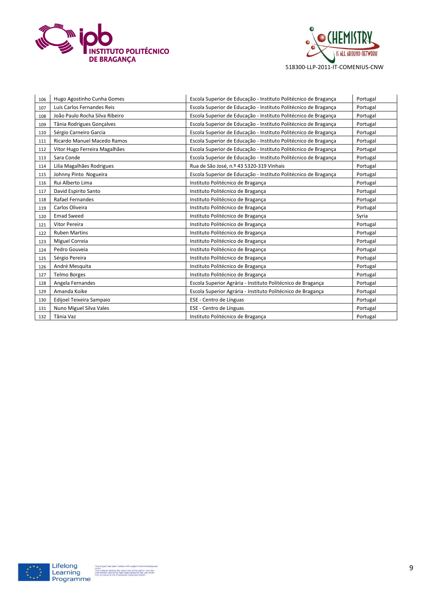



| 106 | Hugo Agostinho Cunha Gomes     | Escola Superior de Educação - Instituto Politécnico de Bragança | Portugal |
|-----|--------------------------------|-----------------------------------------------------------------|----------|
| 107 | Luís Carlos Fernandes Reis     | Escola Superior de Educação - Instituto Politécnico de Bragança | Portugal |
| 108 | João Paulo Rocha Silva Ribeiro | Escola Superior de Educação - Instituto Politécnico de Bragança | Portugal |
| 109 | Tânia Rodrigues Goncalves      | Escola Superior de Educação - Instituto Politécnico de Bragança | Portugal |
| 110 | Sérgio Carneiro Garcia         | Escola Superior de Educação - Instituto Politécnico de Bragança | Portugal |
| 111 | Ricardo Manuel Macedo Ramos    | Escola Superior de Educação - Instituto Politécnico de Bragança | Portugal |
| 112 | Vitor Hugo Ferreira Magalhães  | Escola Superior de Educação - Instituto Politécnico de Bragança | Portugal |
| 113 | Sara Conde                     | Escola Superior de Educação - Instituto Politécnico de Bragança | Portugal |
| 114 | Lilia Magalhães Rodrigues      | Rua de São José, n.º 43 5320-319 Vinhais                        | Portugal |
| 115 | Johnny Pinto Nogueira          | Escola Superior de Educação - Instituto Politécnico de Bragança | Portugal |
| 116 | Rui Alberto Lima               | Instituto Politécnico de Bragança                               | Portugal |
| 117 | David Espirito Santo           | Instituto Politécnico de Bragança                               | Portugal |
| 118 | Rafael Fernandes               | Instituto Politécnico de Bragança                               | Portugal |
| 119 | Carlos Oliveira                | Instituto Politécnico de Bragança                               | Portugal |
| 120 | <b>Emad Sweed</b>              | Instituto Politécnico de Bragança                               | Syria    |
| 121 | Vitor Pereira                  | Instituto Politécnico de Bragança                               | Portugal |
| 122 | <b>Ruben Martins</b>           | Instituto Politécnico de Bragança                               | Portugal |
| 123 | Miguel Correia                 | Instituto Politécnico de Bragança                               | Portugal |
| 124 | Pedro Gouveia                  | Instituto Politécnico de Bragança                               | Portugal |
| 125 | Sérgio Pereira                 | Instituto Politécnico de Bragança                               | Portugal |
| 126 | André Mesquita                 | Instituto Politécnico de Bragança                               | Portugal |
| 127 | <b>Telmo Borges</b>            | Instituto Politécnico de Bragança                               | Portugal |
| 128 | Angela Fernandes               | Escola Superior Agrária - Instituto Politécnico de Bragança     | Portugal |
| 129 | Amanda Koike                   | Escola Superior Agrária - Instituto Politécnico de Bragança     | Portugal |
| 130 | Edijoel Teixeira Sampaio       | ESE - Centro de Línguas                                         | Portugal |
| 131 | Nuno Miguel Silva Vales        | ESE - Centro de Línguas                                         | Portugal |
| 132 | Tânia Vaz                      | Instituto Politécnico de Bragança                               | Portugal |

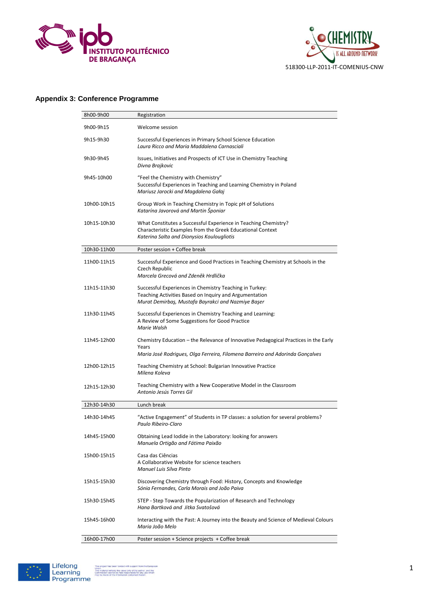



#### **Appendix 3: Conference Programme**

| 8h00-9h00   | Registration                                                                                                                                                                   |
|-------------|--------------------------------------------------------------------------------------------------------------------------------------------------------------------------------|
| 9h00-9h15   | Welcome session                                                                                                                                                                |
| 9h15-9h30   | Successful Experiences in Primary School Science Education<br>Laura Ricco and Maria Maddalena Carnasciali                                                                      |
| 9h30-9h45   | Issues, Initiatives and Prospects of ICT Use in Chemistry Teaching<br>Divna Brajkovic                                                                                          |
| 9h45-10h00  | "Feel the Chemistry with Chemistry"<br>Successful Experiences in Teaching and Learning Chemistry in Poland<br>Mariusz Jarocki and Magdalena Gałaj                              |
| 10h00-10h15 | Group Work in Teaching Chemistry in Topic pH of Solutions<br>Katarína Javorová and Martin Šponiar                                                                              |
| 10h15-10h30 | What Constitutes a Successful Experience in Teaching Chemistry?<br>Characteristic Examples from the Greek Educational Context<br>Katerina Salta and Dionysios Koulougliotis    |
| 10h30-11h00 | Poster session + Coffee break                                                                                                                                                  |
| 11h00-11h15 | Successful Experience and Good Practices in Teaching Chemistry at Schools in the<br>Czech Republic<br>Marcela Grecová and Zdeněk Hrdlička                                      |
| 11h15-11h30 | Successful Experiences in Chemistry Teaching in Turkey:<br>Teaching Activities Based on Inquiry and Argumentation<br>Murat Demirbaş, Mustafa Bayrakci and Nazmiye Başer        |
| 11h30-11h45 | Successful Experiences in Chemistry Teaching and Learning:<br>A Review of Some Suggestions for Good Practice<br>Marie Walsh                                                    |
| 11h45-12h00 | Chemistry Education - the Relevance of Innovative Pedagogical Practices in the Early<br>Years<br>Maria José Rodrigues, Olga Ferreira, Filomena Barreiro and Adorinda Gonçalves |
| 12h00-12h15 | Teaching Chemistry at School: Bulgarian Innovative Practice<br>Milena Koleva                                                                                                   |
| 12h15-12h30 | Teaching Chemistry with a New Cooperative Model in the Classroom<br>Antonio Jesús Torres Gil                                                                                   |
| 12h30-14h30 | Lunch break                                                                                                                                                                    |
| 14h30-14h45 | "Active Engagement" of Students in TP classes: a solution for several problems?<br>Paulo Ribeiro-Claro                                                                         |
| 14h45-15h00 | Obtaining Lead Iodide in the Laboratory: looking for answers<br>Manuela Ortigão and Fátima Paixão                                                                              |
| 15h00-15h15 | Casa das Ciências<br>A Collaborative Website for science teachers<br>Manuel Luis Silva Pinto                                                                                   |
| 15h15-15h30 | Discovering Chemistry through Food: History, Concepts and Knowledge<br>Sónia Fernandes, Carla Morais and João Paiva                                                            |
| 15h30-15h45 | STEP - Step Towards the Popularization of Research and Technology<br>Hana Bartková and Jitka Svatošová                                                                         |
| 15h45-16h00 | Interacting with the Past: A Journey into the Beauty and Science of Medieval Colours<br>Maria João Melo                                                                        |
| 16h00-17h00 | Poster session + Science projects + Coffee break                                                                                                                               |